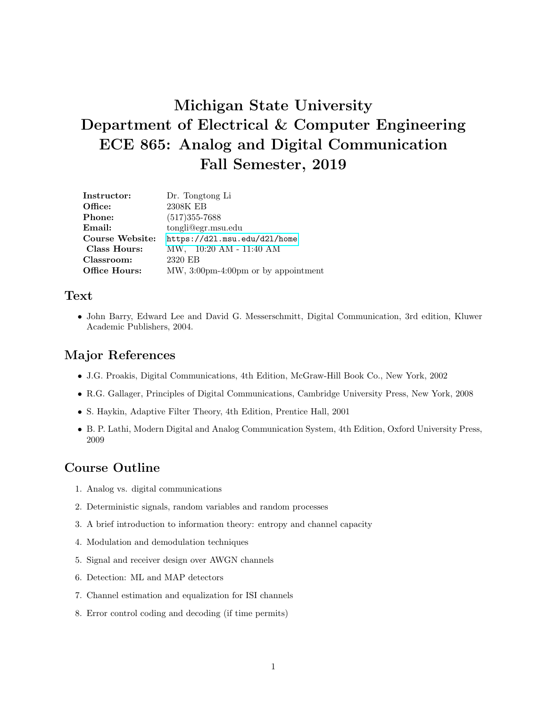# Michigan State University Department of Electrical & Computer Engineering ECE 865: Analog and Digital Communication Fall Semester, 2019

| Instructor:          | Dr. Tongtong Li                       |
|----------------------|---------------------------------------|
| Office:              | 2308K EB                              |
| Phone:               | $(517)355 - 7688$                     |
| Email:               | tongli@egr.msu.edu                    |
| Course Website:      | https://d21.msu.edu/d21/home          |
| Class Hours:         | MW, 10:20 AM - 11:40 AM               |
| Classroom:           | 2320 EB                               |
| <b>Office Hours:</b> | $MW, 3:00pm-4:00pm$ or by appointment |
|                      |                                       |

#### Text

• John Barry, Edward Lee and David G. Messerschmitt, Digital Communication, 3rd edition, Kluwer Academic Publishers, 2004.

#### Major References

- J.G. Proakis, Digital Communications, 4th Edition, McGraw-Hill Book Co., New York, 2002
- R.G. Gallager, Principles of Digital Communications, Cambridge University Press, New York, 2008
- S. Haykin, Adaptive Filter Theory, 4th Edition, Prentice Hall, 2001
- B. P. Lathi, Modern Digital and Analog Communication System, 4th Edition, Oxford University Press, 2009

#### Course Outline

- 1. Analog vs. digital communications
- 2. Deterministic signals, random variables and random processes
- 3. A brief introduction to information theory: entropy and channel capacity
- 4. Modulation and demodulation techniques
- 5. Signal and receiver design over AWGN channels
- 6. Detection: ML and MAP detectors
- 7. Channel estimation and equalization for ISI channels
- 8. Error control coding and decoding (if time permits)